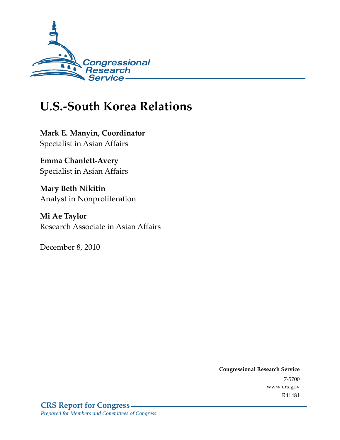

# **U.S.-South Korea Relations**

**Mark E. Manyin, Coordinator**  Specialist in Asian Affairs

**Emma Chanlett-Avery**  Specialist in Asian Affairs

**Mary Beth Nikitin**  Analyst in Nonproliferation

**Mi Ae Taylor**  Research Associate in Asian Affairs

December 8, 2010

**Congressional Research Service** 7-5700 www.crs.gov R41481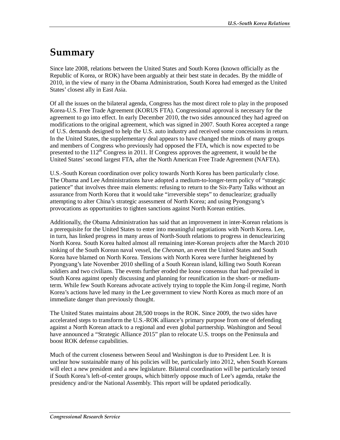# **Summary**

Since late 2008, relations between the United States and South Korea (known officially as the Republic of Korea, or ROK) have been arguably at their best state in decades. By the middle of 2010, in the view of many in the Obama Administration, South Korea had emerged as the United States' closest ally in East Asia.

Of all the issues on the bilateral agenda, Congress has the most direct role to play in the proposed Korea-U.S. Free Trade Agreement (KORUS FTA). Congressional approval is necessary for the agreement to go into effect. In early December 2010, the two sides announced they had agreed on modifications to the original agreement, which was signed in 2007. South Korea accepted a range of U.S. demands designed to help the U.S. auto industry and received some concessions in return. In the United States, the supplementary deal appears to have changed the minds of many groups and members of Congress who previously had opposed the FTA, which is now expected to be presented to the  $112^{th}$  Congress in 2011. If Congress approves the agreement, it would be the United States' second largest FTA, after the North American Free Trade Agreement (NAFTA).

U.S.-South Korean coordination over policy towards North Korea has been particularly close. The Obama and Lee Administrations have adopted a medium-to-longer-term policy of "strategic patience" that involves three main elements: refusing to return to the Six-Party Talks without an assurance from North Korea that it would take "irreversible steps" to denuclearize; gradually attempting to alter China's strategic assessment of North Korea; and using Pyongyang's provocations as opportunities to tighten sanctions against North Korean entities.

Additionally, the Obama Administration has said that an improvement in inter-Korean relations is a prerequisite for the United States to enter into meaningful negotiations with North Korea. Lee, in turn, has linked progress in many areas of North-South relations to progress in denuclearizing North Korea. South Korea halted almost all remaining inter-Korean projects after the March 2010 sinking of the South Korean naval vessel, the *Cheonan*, an event the United States and South Korea have blamed on North Korea. Tensions with North Korea were further heightened by Pyongyang's late November 2010 shelling of a South Korean island, killing two South Korean soldiers and two civilians. The events further eroded the loose consensus that had prevailed in South Korea against openly discussing and planning for reunification in the short- or mediumterm. While few South Koreans advocate actively trying to topple the Kim Jong-il regime, North Korea's actions have led many in the Lee government to view North Korea as much more of an immediate danger than previously thought.

The United States maintains about 28,500 troops in the ROK. Since 2009, the two sides have accelerated steps to transform the U.S.-ROK alliance's primary purpose from one of defending against a North Korean attack to a regional and even global partnership. Washington and Seoul have announced a "Strategic Alliance 2015" plan to relocate U.S. troops on the Peninsula and boost ROK defense capabilities.

Much of the current closeness between Seoul and Washington is due to President Lee. It is unclear how sustainable many of his policies will be, particularly into 2012, when South Koreans will elect a new president and a new legislature. Bilateral coordination will be particularly tested if South Korea's left-of-center groups, which bitterly oppose much of Lee's agenda, retake the presidency and/or the National Assembly. This report will be updated periodically.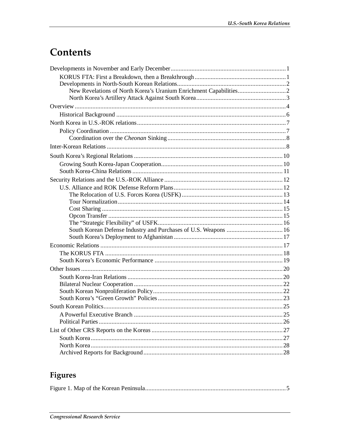# Contents

## Figures

|--|--|--|--|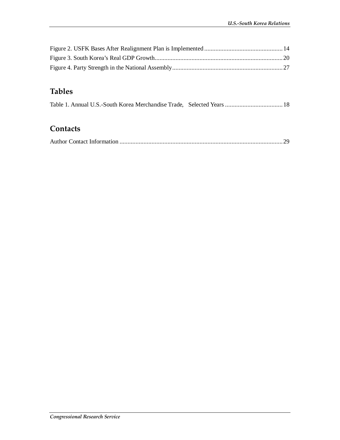## **Tables**

|  | Table 1. Annual U.S.-South Korea Merchandise Trade, Selected Years  18 |  |
|--|------------------------------------------------------------------------|--|
|  |                                                                        |  |

### **Contacts**

|--|--|--|--|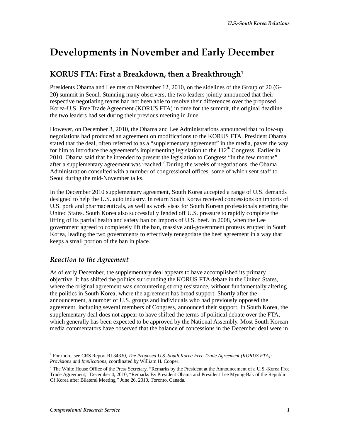# **Developments in November and Early December**

## **KORUS FTA: First a Breakdown, then a Breakthrough1**

Presidents Obama and Lee met on November 12, 2010, on the sidelines of the Group of 20 (G-20) summit in Seoul. Stunning many observers, the two leaders jointly announced that their respective negotiating teams had not been able to resolve their differences over the proposed Korea-U.S. Free Trade Agreement (KORUS FTA) in time for the summit, the original deadline the two leaders had set during their previous meeting in June.

However, on December 3, 2010, the Obama and Lee Administrations announced that follow-up negotiations had produced an agreement on modifications to the KORUS FTA. President Obama stated that the deal, often referred to as a "supplementary agreement" in the media, paves the way for him to introduce the agreement's implementing legislation to the  $112<sup>th</sup>$  Congress. Earlier in 2010, Obama said that he intended to present the legislation to Congress "in the few months" after a supplementary agreement was reached. $2$  During the weeks of negotiations, the Obama Administration consulted with a number of congressional offices, some of which sent staff to Seoul during the mid-November talks.

In the December 2010 supplementary agreement, South Korea accepted a range of U.S. demands designed to help the U.S. auto industry. In return South Korea received concessions on imports of U.S. pork and pharmaceuticals, as well as work visas for South Korean professionals entering the United States. South Korea also successfully fended off U.S. pressure to rapidly complete the lifting of its partial health and safety ban on imports of U.S. beef. In 2008, when the Lee government agreed to completely lift the ban, massive anti-government protests erupted in South Korea, leading the two governments to effectively renegotiate the beef agreement in a way that keeps a small portion of the ban in place.

#### *Reaction to the Agreement*

As of early December, the supplementary deal appears to have accomplished its primary objective. It has shifted the politics surrounding the KORUS FTA debate in the United States, where the original agreement was encountering strong resistance, without fundamentally altering the politics in South Korea, where the agreement has broad support. Shortly after the announcement, a number of U.S. groups and individuals who had previously opposed the agreement, including several members of Congress, announced their support. In South Korea, the supplementary deal does not appear to have shifted the terms of political debate over the FTA, which generally has been expected to be approved by the National Assembly. Most South Korean media commentators have observed that the balance of concessions in the December deal were in

<sup>&</sup>lt;sup>1</sup> For more, see CRS Report RL34330, *The Proposed U.S.-South Korea Free Trade Agreement (KORUS FTA): Provisions and Implications*, coordinated by William H. Cooper.

 $2$  The White House Office of the Press Secretary, "Remarks by the President at the Announcement of a U.S.-Korea Free Trade Agreement," December 4, 2010; "Remarks By President Obama and President Lee Myung-Bak of the Republic Of Korea after Bilateral Meeting," June 26, 2010, Toronto, Canada.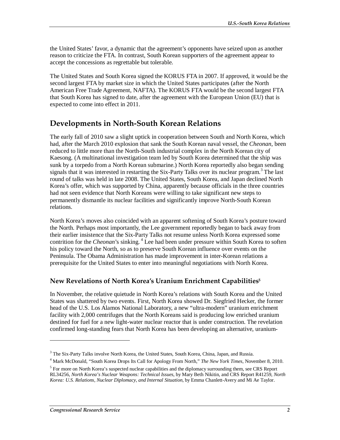the United States' favor, a dynamic that the agreement's opponents have seized upon as another reason to criticize the FTA. In contrast, South Korean supporters of the agreement appear to accept the concessions as regrettable but tolerable.

The United States and South Korea signed the KORUS FTA in 2007. If approved, it would be the second largest FTA by market size in which the United States participates (after the North American Free Trade Agreement, NAFTA). The KORUS FTA would be the second largest FTA that South Korea has signed to date, after the agreement with the European Union (EU) that is expected to come into effect in 2011.

### **Developments in North-South Korean Relations**

The early fall of 2010 saw a slight uptick in cooperation between South and North Korea, which had, after the March 2010 explosion that sank the South Korean naval vessel, the *Cheonan*, been reduced to little more than the North-South industrial complex in the North Korean city of Kaesong. (A multinational investigation team led by South Korea determined that the ship was sunk by a torpedo from a North Korean submarine.) North Korea reportedly also began sending signals that it was interested in restarting the Six-Party Talks over its nuclear program.<sup>3</sup> The last round of talks was held in late 2008. The United States, South Korea, and Japan declined North Korea's offer, which was supported by China, apparently because officials in the three countries had not seen evidence that North Koreans were willing to take significant new steps to permanently dismantle its nuclear facilities and significantly improve North-South Korean relations.

North Korea's moves also coincided with an apparent softening of South Korea's posture toward the North. Perhaps most importantly, the Lee government reportedly began to back away from their earlier insistence that the Six-Party Talks not resume unless North Korea expressed some contrition for the *Cheonan*'s sinking. 4 Lee had been under pressure within South Korea to soften his policy toward the North, so as to preserve South Korean influence over events on the Peninsula. The Obama Administration has made improvement in inter-Korean relations a prerequisite for the United States to enter into meaningful negotiations with North Korea.

#### **New Revelations of North Korea's Uranium Enrichment Capabilities5**

In November, the relative quietude in North Korea's relations with South Korea and the United States was shattered by two events. First, North Korea showed Dr. Siegfried Hecker, the former head of the U.S. Los Alamos National Laboratory, a new "ultra-modern" uranium enrichment facility with 2,000 centrifuges that the North Koreans said is producing low enriched uranium destined for fuel for a new light-water nuclear reactor that is under construction. The revelation confirmed long-standing fears that North Korea has been developing an alternative, uranium-

<sup>&</sup>lt;sup>3</sup> The Six-Party Talks involve North Korea, the United States, South Korea, China, Japan, and Russia.

<sup>4</sup> Mark McDonald, "South Korea Drops Its Call for Apology From North," *The New York Times*, November 8, 2010.

<sup>&</sup>lt;sup>5</sup> For more on North Korea's suspected nuclear capabilities and the diplomacy surrounding them, see CRS Report RL34256, *North Korea's Nuclear Weapons: Technical Issues*, by Mary Beth Nikitin, and CRS Report R41259, *North Korea: U.S. Relations, Nuclear Diplomacy, and Internal Situation*, by Emma Chanlett-Avery and Mi Ae Taylor.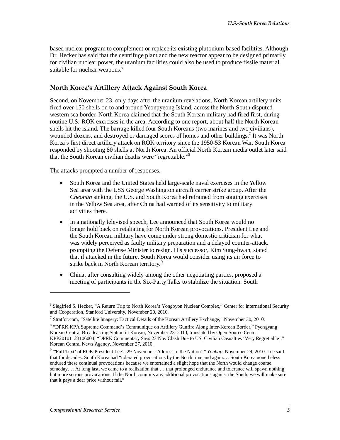based nuclear program to complement or replace its existing plutonium-based facilities. Although Dr. Hecker has said that the centrifuge plant and the new reactor appear to be designed primarily for civilian nuclear power, the uranium facilities could also be used to produce fissile material suitable for nuclear weapons.<sup>6</sup>

#### **North Korea's Artillery Attack Against South Korea**

Second, on November 23, only days after the uranium revelations, North Korean artillery units fired over 150 shells on to and around Yeonpyeong Island, across the North-South disputed western sea border. North Korea claimed that the South Korean military had fired first, during routine U.S.-ROK exercises in the area. According to one report, about half the North Korean shells hit the island. The barrage killed four South Koreans (two marines and two civilians), wounded dozens, and destroyed or damaged scores of homes and other buildings.<sup>7</sup> It was North Korea's first direct artillery attack on ROK territory since the 1950-53 Korean War. South Korea responded by shooting 80 shells at North Korea. An official North Korean media outlet later said that the South Korean civilian deaths were "regrettable."<sup>8</sup>

The attacks prompted a number of responses.

- South Korea and the United States held large-scale naval exercises in the Yellow Sea area with the USS George Washington aircraft carrier strike group. After the *Cheonan* sinking, the U.S. and South Korea had refrained from staging exercises in the Yellow Sea area, after China had warned of its sensitivity to military activities there.
- In a nationally televised speech, Lee announced that South Korea would no longer hold back on retaliating for North Korean provocations. President Lee and the South Korean military have come under strong domestic criticism for what was widely perceived as faulty military preparation and a delayed counter-attack, prompting the Defense Minister to resign. His successor, Kim Sung-hwan, stated that if attacked in the future, South Korea would consider using its air force to strike back in North Korean territory.<sup>9</sup>
- China, after consulting widely among the other negotiating parties, proposed a meeting of participants in the Six-Party Talks to stabilize the situation. South

<sup>&</sup>lt;sup>6</sup> Siegfried S. Hecker, "A Return Trip to North Korea's Yongbyon Nuclear Complex," Center for International Security and Cooperation, Stanford University, November 20, 2010.

<sup>7</sup> Stratfor.com, "Satellite Imagery: Tactical Details of the Korean Artillery Exchange," November 30, 2010.

<sup>&</sup>lt;sup>8</sup> "DPRK KPA Supreme Command's Communique on Artillery Gunfire Along Inter-Korean Border," Pyongyang Korean Central Broadcasting Station in Korean, November 23, 2010, translated by Open Source Center KPP20101123106004; "DPRK Commentary Says 23 Nov Clash Due to US, Civilian Casualties 'Very Regrettable'," Korean Central News Agency, November 27, 2010.

<sup>&</sup>lt;sup>9</sup> "Full Text' of ROK President Lee's 29 November 'Address to the Nation'," *Yonhap*, November 29, 2010. Lee said that for decades, South Korea had "tolerated provocations by the North time and again.… South Korea nonetheless endured these continual provocations because we entertained a slight hope that the North would change course someday.... At long last, we came to a realization that ... that prolonged endurance and tolerance will spawn nothing but more serious provocations. If the North commits any additional provocations against the South, we will make sure that it pays a dear price without fail."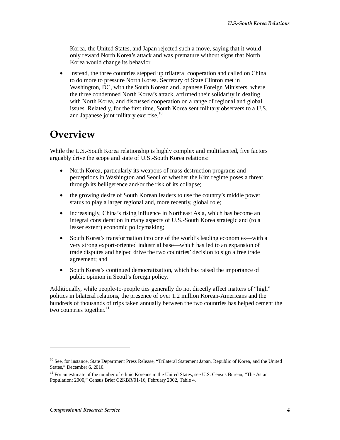Korea, the United States, and Japan rejected such a move, saying that it would only reward North Korea's attack and was premature without signs that North Korea would change its behavior.

• Instead, the three countries stepped up trilateral cooperation and called on China to do more to pressure North Korea. Secretary of State Clinton met in Washington, DC, with the South Korean and Japanese Foreign Ministers, where the three condemned North Korea's attack, affirmed their solidarity in dealing with North Korea, and discussed cooperation on a range of regional and global issues. Relatedly, for the first time, South Korea sent military observers to a U.S. and Japanese joint military exercise.<sup>10</sup>

## **Overview**

While the U.S.-South Korea relationship is highly complex and multifaceted, five factors arguably drive the scope and state of U.S.-South Korea relations:

- North Korea, particularly its weapons of mass destruction programs and perceptions in Washington and Seoul of whether the Kim regime poses a threat, through its belligerence and/or the risk of its collapse;
- the growing desire of South Korean leaders to use the country's middle power status to play a larger regional and, more recently, global role;
- increasingly, China's rising influence in Northeast Asia, which has become an integral consideration in many aspects of U.S.-South Korea strategic and (to a lesser extent) economic policymaking;
- South Korea's transformation into one of the world's leading economies—with a very strong export-oriented industrial base—which has led to an expansion of trade disputes and helped drive the two countries' decision to sign a free trade agreement; and
- South Korea's continued democratization, which has raised the importance of public opinion in Seoul's foreign policy.

Additionally, while people-to-people ties generally do not directly affect matters of "high" politics in bilateral relations, the presence of over 1.2 million Korean-Americans and the hundreds of thousands of trips taken annually between the two countries has helped cement the two countries together. $^{11}$ 

 $10$  See, for instance, State Department Press Release, "Trilateral Statement Japan, Republic of Korea, and the United States," December 6, 2010.

<sup>&</sup>lt;sup>11</sup> For an estimate of the number of ethnic Koreans in the United States, see U.S. Census Bureau, "The Asian Population: 2000," Census Brief C2KBR/01-16, February 2002, Table 4.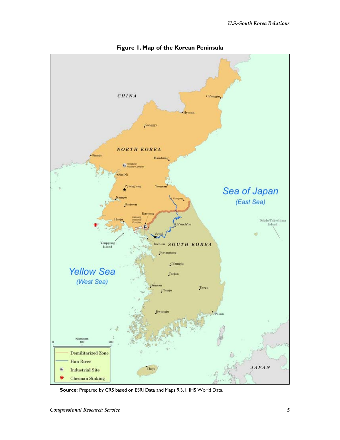

**Figure 1. Map of the Korean Peninsula** 

**Source:** Prepared by CRS based on ESRI Data and Maps 9.3.1; IHS World Data.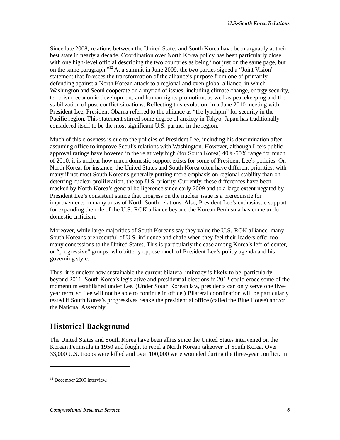Since late 2008, relations between the United States and South Korea have been arguably at their best state in nearly a decade. Coordination over North Korea policy has been particularly close, with one high-level official describing the two countries as being "not just on the same page, but on the same paragraph."12 At a summit in June 2009, the two parties signed a "Joint Vision" statement that foresees the transformation of the alliance's purpose from one of primarily defending against a North Korean attack to a regional and even global alliance, in which Washington and Seoul cooperate on a myriad of issues, including climate change, energy security, terrorism, economic development, and human rights promotion, as well as peacekeeping and the stabilization of post-conflict situations. Reflecting this evolution, in a June 2010 meeting with President Lee, President Obama referred to the alliance as "the lynchpin" for security in the Pacific region. This statement stirred some degree of anxiety in Tokyo; Japan has traditionally considered itself to be the most significant U.S. partner in the region.

Much of this closeness is due to the policies of President Lee, including his determination after assuming office to improve Seoul's relations with Washington. However, although Lee's public approval ratings have hovered in the relatively high (for South Korea) 40%-50% range for much of 2010, it is unclear how much domestic support exists for some of President Lee's policies. On North Korea, for instance, the United States and South Korea often have different priorities, with many if not most South Koreans generally putting more emphasis on regional stability than on deterring nuclear proliferation, the top U.S. priority. Currently, these differences have been masked by North Korea's general belligerence since early 2009 and to a large extent negated by President Lee's consistent stance that progress on the nuclear issue is a prerequisite for improvements in many areas of North-South relations. Also, President Lee's enthusiastic support for expanding the role of the U.S.-ROK alliance beyond the Korean Peninsula has come under domestic criticism.

Moreover, while large majorities of South Koreans say they value the U.S.-ROK alliance, many South Koreans are resentful of U.S. influence and chafe when they feel their leaders offer too many concessions to the United States. This is particularly the case among Korea's left-of-center, or "progressive" groups, who bitterly oppose much of President Lee's policy agenda and his governing style.

Thus, it is unclear how sustainable the current bilateral intimacy is likely to be, particularly beyond 2011. South Korea's legislative and presidential elections in 2012 could erode some of the momentum established under Lee. (Under South Korean law, presidents can only serve one fiveyear term, so Lee will not be able to continue in office.) Bilateral coordination will be particularly tested if South Korea's progressives retake the presidential office (called the Blue House) and/or the National Assembly.

## **Historical Background**

The United States and South Korea have been allies since the United States intervened on the Korean Peninsula in 1950 and fought to repel a North Korean takeover of South Korea. Over 33,000 U.S. troops were killed and over 100,000 were wounded during the three-year conflict. In

<sup>&</sup>lt;sup>12</sup> December 2009 interview.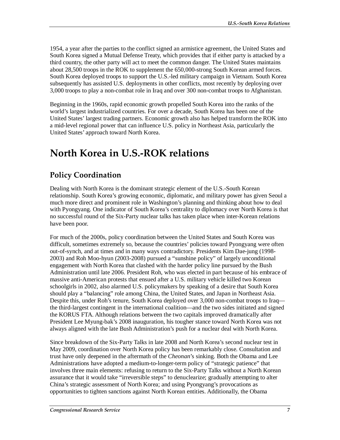1954, a year after the parties to the conflict signed an armistice agreement, the United States and South Korea signed a Mutual Defense Treaty, which provides that if either party is attacked by a third country, the other party will act to meet the common danger. The United States maintains about 28,500 troops in the ROK to supplement the 650,000-strong South Korean armed forces. South Korea deployed troops to support the U.S.-led military campaign in Vietnam. South Korea subsequently has assisted U.S. deployments in other conflicts, most recently by deploying over 3,000 troops to play a non-combat role in Iraq and over 300 non-combat troops to Afghanistan.

Beginning in the 1960s, rapid economic growth propelled South Korea into the ranks of the world's largest industrialized countries. For over a decade, South Korea has been one of the United States' largest trading partners. Economic growth also has helped transform the ROK into a mid-level regional power that can influence U.S. policy in Northeast Asia, particularly the United States' approach toward North Korea.

# **North Korea in U.S.-ROK relations**

## **Policy Coordination**

Dealing with North Korea is the dominant strategic element of the U.S.-South Korean relationship. South Korea's growing economic, diplomatic, and military power has given Seoul a much more direct and prominent role in Washington's planning and thinking about how to deal with Pyongyang. One indicator of South Korea's centrality to diplomacy over North Korea is that no successful round of the Six-Party nuclear talks has taken place when inter-Korean relations have been poor.

For much of the 2000s, policy coordination between the United States and South Korea was difficult, sometimes extremely so, because the countries' policies toward Pyongyang were often out-of-synch, and at times and in many ways contradictory. Presidents Kim Dae-jung (1998- 2003) and Roh Moo-hyun (2003-2008) pursued a "sunshine policy" of largely unconditional engagement with North Korea that clashed with the harder policy line pursued by the Bush Administration until late 2006. President Roh, who was elected in part because of his embrace of massive anti-American protests that ensued after a U.S. military vehicle killed two Korean schoolgirls in 2002, also alarmed U.S. policymakers by speaking of a desire that South Korea should play a "balancing" role among China, the United States, and Japan in Northeast Asia. Despite this, under Roh's tenure, South Korea deployed over 3,000 non-combat troops to Iraq the third-largest contingent in the international coalition—and the two sides initiated and signed the KORUS FTA. Although relations between the two capitals improved dramatically after President Lee Myung-bak's 2008 inauguration, his tougher stance toward North Korea was not always aligned with the late Bush Administration's push for a nuclear deal with North Korea.

Since breakdown of the Six-Party Talks in late 2008 and North Korea's second nuclear test in May 2009, coordination over North Korea policy has been remarkably close. Consultation and trust have only deepened in the aftermath of the *Cheonan*'s sinking. Both the Obama and Lee Administrations have adopted a medium-to-longer-term policy of "strategic patience" that involves three main elements: refusing to return to the Six-Party Talks without a North Korean assurance that it would take "irreversible steps" to denuclearize; gradually attempting to alter China's strategic assessment of North Korea; and using Pyongyang's provocations as opportunities to tighten sanctions against North Korean entities. Additionally, the Obama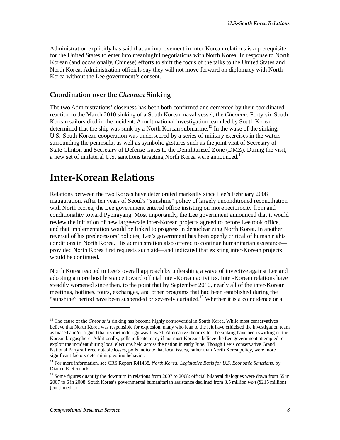Administration explicitly has said that an improvement in inter-Korean relations is a prerequisite for the United States to enter into meaningful negotiations with North Korea. In response to North Korean (and occasionally, Chinese) efforts to shift the focus of the talks to the United States and North Korea, Administration officials say they will not move forward on diplomacy with North Korea without the Lee government's consent.

#### **Coordination over the** *Cheonan* **Sinking**

The two Administrations' closeness has been both confirmed and cemented by their coordinated reaction to the March 2010 sinking of a South Korean naval vessel, the *Cheonan*. Forty-six South Korean sailors died in the incident. A multinational investigation team led by South Korea determined that the ship was sunk by a North Korean submarine.<sup>13</sup> In the wake of the sinking, U.S.-South Korean cooperation was underscored by a series of military exercises in the waters surrounding the peninsula, as well as symbolic gestures such as the joint visit of Secretary of State Clinton and Secretary of Defense Gates to the Demilitarized Zone (DMZ). During the visit, a new set of unilateral U.S. sanctions targeting North Korea were announced.<sup>14</sup>

## **Inter-Korean Relations**

Relations between the two Koreas have deteriorated markedly since Lee's February 2008 inauguration. After ten years of Seoul's "sunshine" policy of largely unconditioned reconciliation with North Korea, the Lee government entered office insisting on more reciprocity from and conditionality toward Pyongyang. Most importantly, the Lee government announced that it would review the initiation of new large-scale inter-Korean projects agreed to before Lee took office, and that implementation would be linked to progress in denuclearizing North Korea. In another reversal of his predecessors' policies, Lee's government has been openly critical of human rights conditions in North Korea. His administration also offered to continue humanitarian assistance provided North Korea first requests such aid—and indicated that existing inter-Korean projects would be continued.

North Korea reacted to Lee's overall approach by unleashing a wave of invective against Lee and adopting a more hostile stance toward official inter-Korean activities. Inter-Korean relations have steadily worsened since then, to the point that by September 2010, nearly all of the inter-Korean meetings, hotlines, tours, exchanges, and other programs that had been established during the "sunshine" period have been suspended or severely curtailed.<sup>15</sup> Whether it is a coincidence or a

<sup>&</sup>lt;sup>13</sup> The cause of the *Cheonan's* sinking has become highly controversial in South Korea. While most conservatives believe that North Korea was responsible for explosion, many who lean to the left have criticized the investigation team as biased and/or argued that its methodology was flawed. Alternative theories for the sinking have been swirling on the Korean blogosphere. Additionally, polls indicate many if not most Koreans believe the Lee government attempted to exploit the incident during local elections held across the nation in early June. Though Lee's conservative Grand National Party suffered notable losses, polls indicate that local issues, rather than North Korea policy, were more significant factors determining voting behavior.

<sup>&</sup>lt;sup>14</sup> For more information, see CRS Report R41438, *North Korea: Legislative Basis for U.S. Economic Sanctions*, by Dianne E. Rennack.

<sup>&</sup>lt;sup>15</sup> Some figures quantify the downturn in relations from 2007 to 2008: official bilateral dialogues were down from 55 in 2007 to 6 in 2008; South Korea's governmental humanitarian assistance declined from 3.5 million *won* (\$215 million) (continued...)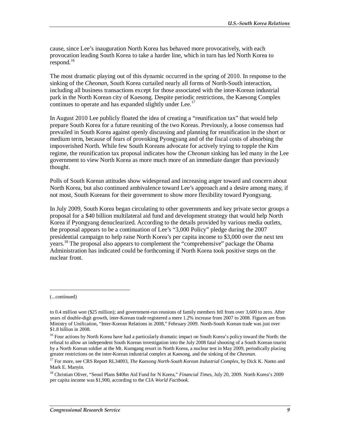cause, since Lee's inauguration North Korea has behaved more provocatively, with each provocation leading South Korea to take a harder line, which in turn has led North Korea to respond. $^{16}$ 

The most dramatic playing out of this dynamic occurred in the spring of 2010. In response to the sinking of the *Cheonan*, South Korea curtailed nearly all forms of North-South interaction, including all business transactions except for those associated with the inter-Korean industrial park in the North Korean city of Kaesong. Despite periodic restrictions, the Kaesong Complex continues to operate and has expanded slightly under Lee.<sup>17</sup>

In August 2010 Lee publicly floated the idea of creating a "reunification tax" that would help prepare South Korea for a future reuniting of the two Koreas. Previously, a loose consensus had prevailed in South Korea against openly discussing and planning for reunification in the short or medium term, because of fears of provoking Pyongyang and of the fiscal costs of absorbing the impoverished North. While few South Koreans advocate for actively trying to topple the Kim regime, the reunification tax proposal indicates how the *Cheonan* sinking has led many in the Lee government to view North Korea as more much more of an immediate danger than previously thought.

Polls of South Korean attitudes show widespread and increasing anger toward and concern about North Korea, but also continued ambivalence toward Lee's approach and a desire among many, if not most, South Koreans for their government to show more flexibility toward Pyongyang.

In July 2009, South Korea began circulating to other governments and key private sector groups a proposal for a \$40 billion multilateral aid fund and development strategy that would help North Korea if Pyongyang denuclearized. According to the details provided by various media outlets, the proposal appears to be a continuation of Lee's "3,000 Policy" pledge during the 2007 presidential campaign to help raise North Korea's per capita income to \$3,000 over the next ten years.18 The proposal also appears to complement the "comprehensive" package the Obama Administration has indicated could be forthcoming if North Korea took positive steps on the nuclear front.

1

<sup>(...</sup>continued)

to 0.4 million *won* (\$25 million); and government-run reunions of family members fell from over 3,600 to zero. After years of double-digit growth, inter-Korean trade registered a mere 1.2% increase from 2007 to 2008. Figures are from Ministry of Unification, "Inter-Korean Relations in 2008," February 2009. North-South Korean trade was just over \$1.8 billion in 2008.

<sup>&</sup>lt;sup>16</sup> Four actions by North Korea have had a particularly dramatic impact on South Korea's policy toward the North: the refusal to allow an independent South Korean investigation into the July 2008 fatal shooting of a South Korean tourist by a North Korean soldier at the Mt. Kumgang resort in North Korea, a nuclear test in May 2009, periodically placing greater restrictions on the inter-Korean industrial complex at Kaesong, and the sinking of the *Cheonan*.

<sup>17</sup> For more, see CRS Report RL34093, *The Kaesong North-South Korean Industrial Complex*, by Dick K. Nanto and Mark E. Manyin.

<sup>18</sup> Christian Oliver, "Seoul Plans \$40bn Aid Fund for N Korea," *Financial Times*, July 20, 2009. North Korea's 2009 per capita income was \$1,900, according to the CIA *World Factbook*.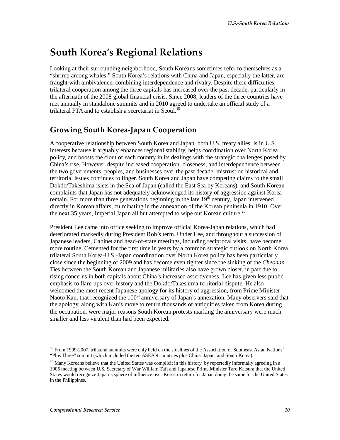# **South Korea's Regional Relations**

Looking at their surrounding neighborhood, South Koreans sometimes refer to themselves as a "shrimp among whales." South Korea's relations with China and Japan, especially the latter, are fraught with ambivalence, combining interdependence and rivalry. Despite these difficulties, trilateral cooperation among the three capitals has increased over the past decade, particularly in the aftermath of the 2008 global financial crisis. Since 2008, leaders of the three countries have met annually in standalone summits and in 2010 agreed to undertake an official study of a trilateral FTA and to establish a secretariat in Seoul.<sup>19</sup>

## **Growing South Korea-Japan Cooperation**

A cooperative relationship between South Korea and Japan, both U.S. treaty allies, is in U.S. interests because it arguably enhances regional stability, helps coordination over North Korea policy, and boosts the clout of each country in its dealings with the strategic challenges posed by China's rise. However, despite increased cooperation, closeness, and interdependence between the two governments, peoples, and businesses over the past decade, mistrust on historical and territorial issues continues to linger. South Korea and Japan have competing claims to the small Dokdo/Takeshima islets in the Sea of Japan (called the East Sea by Koreans), and South Korean complaints that Japan has not adequately acknowledged its history of aggression against Korea remain. For more than three generations beginning in the late 19<sup>th</sup> century, Japan intervened directly in Korean affairs, culminating in the annexation of the Korean peninsula in 1910. Over the next 35 years, Imperial Japan all but attempted to wipe out Korean culture.<sup>20</sup>

President Lee came into office seeking to improve official Korea-Japan relations, which had deteriorated markedly during President Roh's term. Under Lee, and throughout a succession of Japanese leaders, Cabinet and head-of-state meetings, including reciprocal visits, have become more routine. Cemented for the first time in years by a common strategic outlook on North Korea, trilateral South Korea-U.S.-Japan coordination over North Korea policy has been particularly close since the beginning of 2009 and has become even tighter since the sinking of the *Cheonan*. Ties between the South Korean and Japanese militaries also have grown closer, in part due to rising concerns in both capitals about China's increased assertiveness. Lee has given less public emphasis to flare-ups over history and the Dokdo/Takeshima territorial dispute. He also welcomed the most recent Japanese apology for its history of aggression, from Prime Minister Naoto Kan, that recognized the 100<sup>th</sup> anniversary of Japan's annexation. Many observers said that the apology, along with Kan's move to return thousands of antiquities taken from Korea during the occupation, were major reasons South Korean protests marking the anniversary were much smaller and less virulent than had been expected.

<sup>&</sup>lt;sup>19</sup> From 1999-2007, trilateral summits were only held on the sidelines of the Association of Southeast Asian Nations' "Plus Three" summit (which included the ten ASEAN countries plus China, Japan, and South Korea).

<sup>&</sup>lt;sup>20</sup> Many Koreans believe that the United States was complicit in this history, by reportedly informally agreeing in a 1905 meeting between U.S. Secretary of War William Taft and Japanese Prime Minister Taro Katsura that the United States would recognize Japan's sphere of influence over Korea in return for Japan doing the same for the United States in the Philippines.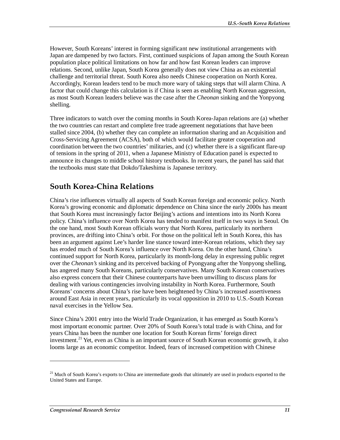However, South Koreans' interest in forming significant new institutional arrangements with Japan are dampened by two factors. First, continued suspicions of Japan among the South Korean population place political limitations on how far and how fast Korean leaders can improve relations. Second, unlike Japan, South Korea generally does not view China as an existential challenge and territorial threat. South Korea also needs Chinese cooperation on North Korea. Accordingly, Korean leaders tend to be much more wary of taking steps that will alarm China. A factor that could change this calculation is if China is seen as enabling North Korean aggression, as most South Korean leaders believe was the case after the *Cheonan* sinking and the Yonpyong shelling.

Three indicators to watch over the coming months in South Korea-Japan relations are (a) whether the two countries can restart and complete free trade agreement negotiations that have been stalled since 2004, (b) whether they can complete an information sharing and an Acquisition and Cross-Servicing Agreement (ACSA), both of which would facilitate greater cooperation and coordination between the two countries' militaries, and (c) whether there is a significant flare-up of tensions in the spring of 2011, when a Japanese Ministry of Education panel is expected to announce its changes to middle school history textbooks. In recent years, the panel has said that the textbooks must state that Dokdo/Takeshima is Japanese territory.

### **South Korea-China Relations**

China's rise influences virtually all aspects of South Korean foreign and economic policy. North Korea's growing economic and diplomatic dependence on China since the early 2000s has meant that South Korea must increasingly factor Beijing's actions and intentions into its North Korea policy. China's influence over North Korea has tended to manifest itself in two ways in Seoul. On the one hand, most South Korean officials worry that North Korea, particularly its northern provinces, are drifting into China's orbit. For those on the political left in South Korea, this has been an argument against Lee's harder line stance toward inter-Korean relations, which they say has eroded much of South Korea's influence over North Korea. On the other hand, China's continued support for North Korea, particularly its month-long delay in expressing public regret over the *Cheonan's* sinking and its perceived backing of Pyongyang after the Yonpyong shelling, has angered many South Koreans, particularly conservatives. Many South Korean conservatives also express concern that their Chinese counterparts have been unwilling to discuss plans for dealing with various contingencies involving instability in North Korea. Furthermore, South Koreans' concerns about China's rise have been heightened by China's increased assertiveness around East Asia in recent years, particularly its vocal opposition in 2010 to U.S.-South Korean naval exercises in the Yellow Sea.

Since China's 2001 entry into the World Trade Organization, it has emerged as South Korea's most important economic partner. Over 20% of South Korea's total trade is with China, and for years China has been the number one location for South Korean firms' foreign direct investment.<sup>21</sup> Yet, even as China is an important source of South Korean economic growth, it also looms large as an economic competitor. Indeed, fears of increased competition with Chinese

<sup>&</sup>lt;sup>21</sup> Much of South Korea's exports to China are intermediate goods that ultimately are used in products exported to the United States and Europe.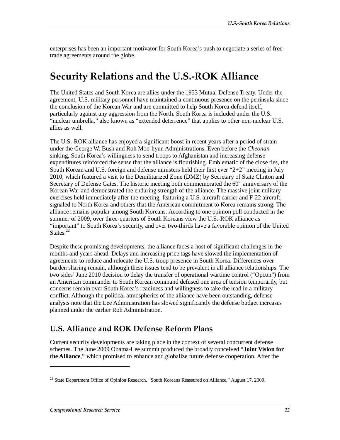enterprises has been an important motivator for South Korea's push to negotiate a series of free trade agreements around the globe.

## **Security Relations and the U.S.-ROK Alliance**

The United States and South Korea are allies under the 1953 Mutual Defense Treaty. Under the agreement, U.S. military personnel have maintained a continuous presence on the peninsula since the conclusion of the Korean War and are committed to help South Korea defend itself, particularly against any aggression from the North. South Korea is included under the U.S. "nuclear umbrella," also known as "extended deterrence" that applies to other non-nuclear U.S. allies as well.

The U.S.-ROK alliance has enjoyed a significant boost in recent years after a period of strain under the George W. Bush and Roh Moo-hyun Administrations. Even before the *Cheonan* sinking, South Korea's willingness to send troops to Afghanistan and increasing defense expenditures reinforced the sense that the alliance is flourishing. Emblematic of the close ties, the South Korean and U.S. foreign and defense ministers held their first ever "2+2" meeting in July 2010, which featured a visit to the Demilitarized Zone (DMZ) by Secretary of State Clinton and Secretary of Defense Gates. The historic meeting both commemorated the  $60<sup>th</sup>$  anniversary of the Korean War and demonstrated the enduring strength of the alliance. The massive joint military exercises held immediately after the meeting, featuring a U.S. aircraft carrier and F-22 aircraft, signaled to North Korea and others that the American commitment to Korea remains strong. The alliance remains popular among South Koreans. According to one opinion poll conducted in the summer of 2009, over three-quarters of South Koreans view the U.S.-ROK alliance as "important" to South Korea's security, and over two-thirds have a favorable opinion of the United States.<sup>22</sup>

Despite these promising developments, the alliance faces a host of significant challenges in the months and years ahead. Delays and increasing price tags have slowed the implementation of agreements to reduce and relocate the U.S. troop presence in South Korea. Differences over burden sharing remain, although these issues tend to be prevalent in all alliance relationships. The two sides' June 2010 decision to delay the transfer of operational wartime control ("Opcon") from an American commander to South Korean command defused one area of tension temporarily, but concerns remain over South Korea's readiness and willingness to take the lead in a military conflict. Although the political atmospherics of the alliance have been outstanding, defense analysts note that the Lee Administration has slowed significantly the defense budget increases planned under the earlier Roh Administration.

### **U.S. Alliance and ROK Defense Reform Plans**

Current security developments are taking place in the context of several concurrent defense schemes. The June 2009 Obama-Lee summit produced the broadly conceived "**Joint Vision for the Alliance**," which promised to enhance and globalize future defense cooperation. After the

 $22$  State Department Office of Opinion Research, "South Koreans Reassured on Alliance," August 17, 2009.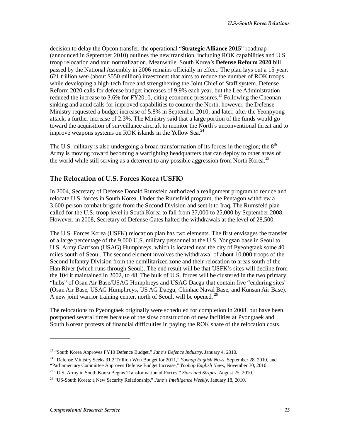decision to delay the Opcon transfer, the operational "**Strategic Alliance 2015**" roadmap (announced in September 2010) outlines the new transition, including ROK capabilities and U.S. troop relocation and tour normalization. Meanwhile, South Korea's **Defense Reform 2020** bill passed by the National Assembly in 2006 remains officially in effect. The plan lays out a 15-year, 621 trillion *won* (about \$550 million) investment that aims to reduce the number of ROK troops while developing a high-tech force and strengthening the Joint Chief of Staff system. Defense Reform 2020 calls for defense budget increases of 9.9% each year, but the Lee Administration reduced the increase to 3.6% for FY2010, citing economic pressures.<sup>23</sup> Following the Cheonan sinking and amid calls for improved capabilities to counter the North, however, the Defense Ministry requested a budget increase of 5.8% in September 2010, and later, after the Yeonpyong attack, a further increase of 2.3%. The Ministry said that a large portion of the funds would go toward the acquisition of surveillance aircraft to monitor the North's unconventional threat and to improve weapons systems on ROK islands in the Yellow Sea.<sup>24</sup>

The U.S. military is also undergoing a broad transformation of its forces in the region; the  $8<sup>th</sup>$ Army is moving toward becoming a warfighting headquarters that can deploy to other areas of the world while still serving as a deterrent to any possible aggression from North Korea.<sup>25</sup>

#### **The Relocation of U.S. Forces Korea (USFK)**

In 2004, Secretary of Defense Donald Rumsfeld authorized a realignment program to reduce and relocate U.S. forces in South Korea. Under the Rumsfeld program, the Pentagon withdrew a 3,600-person combat brigade from the Second Division and sent it to Iraq. The Rumsfeld plan called for the U.S. troop level in South Korea to fall from 37,000 to 25,000 by September 2008. However, in 2008, Secretary of Defense Gates halted the withdrawals at the level of 28,500.

The U.S. Forces Korea (USFK) relocation plan has two elements. The first envisages the transfer of a large percentage of the 9,000 U.S. military personnel at the U.S. Yongsan base in Seoul to U.S. Army Garrison (USAG) Humphreys, which is located near the city of Pyeongtaek some 40 miles south of Seoul. The second element involves the withdrawal of about 10,000 troops of the Second Infantry Division from the demilitarized zone and their relocation to areas south of the Han River (which runs through Seoul). The end result will be that USFK's sites will decline from the 104 it maintained in 2002, to 48. The bulk of U.S. forces will be clustered in the two primary "hubs" of Osan Air Base/USAG Humphreys and USAG Daegu that contain five "enduring sites" (Osan Air Base, USAG Humphreys, US AG Daegu, Chinhae Naval Base, and Kunsan Air Base). A new joint warrior training center, north of Seoul, will be opened.<sup>26</sup>

The relocations to Pyeongtaek originally were scheduled for completion in 2008, but have been postponed several times because of the slow construction of new facilities at Pyongtaek and South Korean protests of financial difficulties in paying the ROK share of the relocation costs.

<sup>23 &</sup>quot;South Korea Approves FY10 Defence Budget," *Jane's Defence Industry*. January 4, 2010.

<sup>24 &</sup>quot;Defense Ministry Seeks 31.2 Trillion Won Budget for 2011," *Yonhap English News*, September 28, 2010, and "Parliamentary Committee Approves Defense Budget Increase," *Yonhap English News*, November 30, 2010.

<sup>25 &</sup>quot;U.S. Army in South Korea Begins Transformation of Forces," *Stars and Stripes*. August 25, 2010.

<sup>26 &</sup>quot;US-South Korea: a New Security Relationship," *Jane's Intelligence Weekly*, January 18, 2010.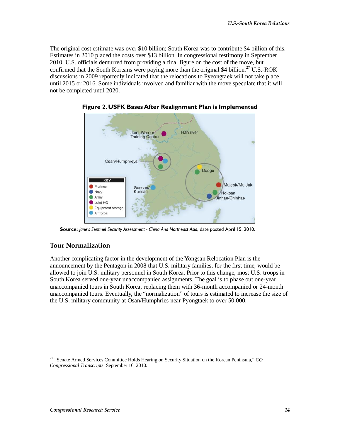The original cost estimate was over \$10 billion; South Korea was to contribute \$4 billion of this. Estimates in 2010 placed the costs over \$13 billion. In congressional testimony in September 2010, U.S. officials demurred from providing a final figure on the cost of the move, but confirmed that the South Koreans were paying more than the original \$4 billion.<sup>27</sup> U.S.-ROK discussions in 2009 reportedly indicated that the relocations to Pyeongtaek will not take place until 2015 or 2016. Some individuals involved and familiar with the move speculate that it will not be completed until 2020.



**Figure 2. USFK Bases After Realignment Plan is Implemented** 

**Source:** *Jane's Sentinel Security Assessment - China And Northeast Asia*, date posted April 15, 2010.

#### **Tour Normalization**

Another complicating factor in the development of the Yongsan Relocation Plan is the announcement by the Pentagon in 2008 that U.S. military families, for the first time, would be allowed to join U.S. military personnel in South Korea. Prior to this change, most U.S. troops in South Korea served one-year unaccompanied assignments. The goal is to phase out one-year unaccompanied tours in South Korea, replacing them with 36-month accompanied or 24-month unaccompanied tours. Eventually, the "normalization" of tours is estimated to increase the size of the U.S. military community at Osan/Humphries near Pyongtaek to over 50,000.

<sup>27 &</sup>quot;Senate Armed Services Committee Holds Hearing on Security Situation on the Korean Peninsula," *CQ Congressional Transcripts*. September 16, 2010.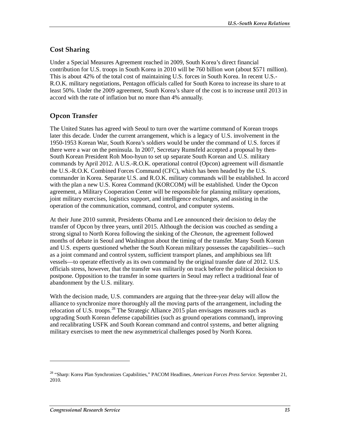#### **Cost Sharing**

Under a Special Measures Agreement reached in 2009, South Korea's direct financial contribution for U.S. troops in South Korea in 2010 will be 760 billion *won* (about \$571 million). This is about 42% of the total cost of maintaining U.S. forces in South Korea. In recent U.S.- R.O.K. military negotiations, Pentagon officials called for South Korea to increase its share to at least 50%. Under the 2009 agreement, South Korea's share of the cost is to increase until 2013 in accord with the rate of inflation but no more than 4% annually.

### **Opcon Transfer**

The United States has agreed with Seoul to turn over the wartime command of Korean troops later this decade. Under the current arrangement, which is a legacy of U.S. involvement in the 1950-1953 Korean War, South Korea's soldiers would be under the command of U.S. forces if there were a war on the peninsula. In 2007, Secretary Rumsfeld accepted a proposal by then-South Korean President Roh Moo-hyun to set up separate South Korean and U.S. military commands by April 2012. A U.S.-R.O.K. operational control (Opcon) agreement will dismantle the U.S.-R.O.K. Combined Forces Command (CFC), which has been headed by the U.S. commander in Korea. Separate U.S. and R.O.K. military commands will be established. In accord with the plan a new U.S. Korea Command (KORCOM) will be established. Under the Opcon agreement, a Military Cooperation Center will be responsible for planning military operations, joint military exercises, logistics support, and intelligence exchanges, and assisting in the operation of the communication, command, control, and computer systems.

At their June 2010 summit, Presidents Obama and Lee announced their decision to delay the transfer of Opcon by three years, until 2015. Although the decision was couched as sending a strong signal to North Korea following the sinking of the *Cheonan*, the agreement followed months of debate in Seoul and Washington about the timing of the transfer. Many South Korean and U.S. experts questioned whether the South Korean military possesses the capabilities—such as a joint command and control system, sufficient transport planes, and amphibious sea lift vessels—to operate effectively as its own command by the original transfer date of 2012. U.S. officials stress, however, that the transfer was militarily on track before the political decision to postpone. Opposition to the transfer in some quarters in Seoul may reflect a traditional fear of abandonment by the U.S. military.

With the decision made, U.S. commanders are arguing that the three-year delay will allow the alliance to synchronize more thoroughly all the moving parts of the arrangement, including the relocation of U.S. troops.<sup>28</sup> The Strategic Alliance 2015 plan envisages measures such as upgrading South Korean defense capabilities (such as ground operations command), improving and recalibrating USFK and South Korean command and control systems, and better aligning military exercises to meet the new asymmetrical challenges posed by North Korea.

<sup>28 &</sup>quot;Sharp: Korea Plan Synchronizes Capabilities," PACOM Headlines, *American Forces Press Service*. September 21, 2010.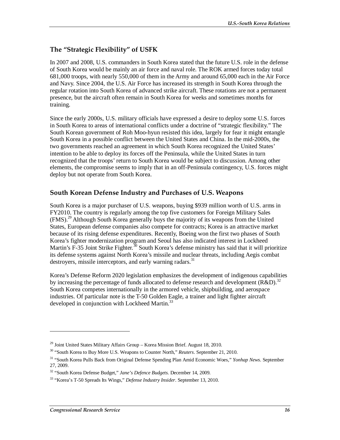#### **The "Strategic Flexibility" of USFK**

In 2007 and 2008, U.S. commanders in South Korea stated that the future U.S. role in the defense of South Korea would be mainly an air force and naval role. The ROK armed forces today total 681,000 troops, with nearly 550,000 of them in the Army and around 65,000 each in the Air Force and Navy. Since 2004, the U.S. Air Force has increased its strength in South Korea through the regular rotation into South Korea of advanced strike aircraft. These rotations are not a permanent presence, but the aircraft often remain in South Korea for weeks and sometimes months for training.

Since the early 2000s, U.S. military officials have expressed a desire to deploy some U.S. forces in South Korea to areas of international conflicts under a doctrine of "strategic flexibility." The South Korean government of Roh Moo-hyun resisted this idea, largely for fear it might entangle South Korea in a possible conflict between the United States and China. In the mid-2000s, the two governments reached an agreement in which South Korea recognized the United States' intention to be able to deploy its forces off the Peninsula, while the United States in turn recognized that the troops' return to South Korea would be subject to discussion. Among other elements, the compromise seems to imply that in an off-Peninsula contingency, U.S. forces might deploy but not operate from South Korea.

#### **South Korean Defense Industry and Purchases of U.S. Weapons**

South Korea is a major purchaser of U.S. weapons, buying \$939 million worth of U.S. arms in FY2010. The country is regularly among the top five customers for Foreign Military Sales (FMS).<sup>29</sup> Although South Korea generally buys the majority of its weapons from the United States, European defense companies also compete for contracts; Korea is an attractive market because of its rising defense expenditures. Recently, Boeing won the first two phases of South Korea's fighter modernization program and Seoul has also indicated interest in Lockheed Martin's F-35 Joint Strike Fighter.<sup>30</sup> South Korea's defense ministry has said that it will prioritize its defense systems against North Korea's missile and nuclear threats, including Aegis combat destroyers, missile interceptors, and early warning radars.<sup>31</sup>

Korea's Defense Reform 2020 legislation emphasizes the development of indigenous capabilities by increasing the percentage of funds allocated to defense research and development (R&D).<sup>32</sup> South Korea competes internationally in the armored vehicle, shipbuilding, and aerospace industries. Of particular note is the T-50 Golden Eagle, a trainer and light fighter aircraft developed in conjunction with Lockheed Martin.<sup>33</sup>

 $^{29}$  Joint United States Military Affairs Group – Korea Mission Brief. August 18, 2010.

<sup>30 &</sup>quot;South Korea to Buy More U.S. Weapons to Counter North," *Reuters*. September 21, 2010.

<sup>31 &</sup>quot;South Korea Pulls Back from Original Defense Spending Plan Amid Economic Woes," *Yonhap News*. September 27, 2009.

<sup>32 &</sup>quot;South Korea Defense Budget," *Jane's Defence Budgets*. December 14, 2009.

<sup>33 &</sup>quot;Korea's T-50 Spreads Its Wings," *Defense Industry Insider*. September 13, 2010.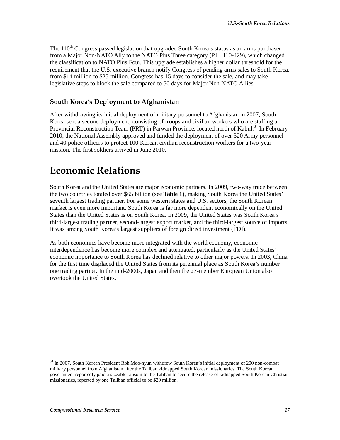The  $110^{th}$  Congress passed legislation that upgraded South Korea's status as an arms purchaser from a Major Non-NATO Ally to the NATO Plus Three category (P.L. 110-429), which changed the classification to NATO Plus Four. This upgrade establishes a higher dollar threshold for the requirement that the U.S. executive branch notify Congress of pending arms sales to South Korea, from \$14 million to \$25 million. Congress has 15 days to consider the sale, and may take legislative steps to block the sale compared to 50 days for Major Non-NATO Allies.

#### **South Korea's Deployment to Afghanistan**

After withdrawing its initial deployment of military personnel to Afghanistan in 2007, South Korea sent a second deployment, consisting of troops and civilian workers who are staffing a Provincial Reconstruction Team (PRT) in Parwan Province, located north of Kabul.<sup>34</sup> In February 2010, the National Assembly approved and funded the deployment of over 320 Army personnel and 40 police officers to protect 100 Korean civilian reconstruction workers for a two-year mission. The first soldiers arrived in June 2010.

# **Economic Relations**

South Korea and the United States are major economic partners. In 2009, two-way trade between the two countries totaled over \$65 billion (see **Table 1**), making South Korea the United States' seventh largest trading partner. For some western states and U.S. sectors, the South Korean market is even more important. South Korea is far more dependent economically on the United States than the United States is on South Korea. In 2009, the United States was South Korea's third-largest trading partner, second-largest export market, and the third-largest source of imports. It was among South Korea's largest suppliers of foreign direct investment (FDI).

As both economies have become more integrated with the world economy, economic interdependence has become more complex and attenuated, particularly as the United States' economic importance to South Korea has declined relative to other major powers. In 2003, China for the first time displaced the United States from its perennial place as South Korea's number one trading partner. In the mid-2000s, Japan and then the 27-member European Union also overtook the United States.

<sup>&</sup>lt;sup>34</sup> In 2007, South Korean President Roh Moo-hyun withdrew South Korea's initial deployment of 200 non-combat military personnel from Afghanistan after the Taliban kidnapped South Korean missionaries. The South Korean government reportedly paid a sizeable ransom to the Taliban to secure the release of kidnapped South Korean Christian missionaries, reported by one Taliban official to be \$20 million.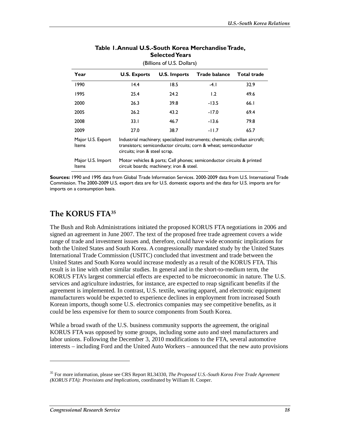| (Billions of U.S. Dollars) |                                                                                                                                                                                   |                     |                      |             |
|----------------------------|-----------------------------------------------------------------------------------------------------------------------------------------------------------------------------------|---------------------|----------------------|-------------|
| Year                       | <b>U.S. Exports</b>                                                                                                                                                               | <b>U.S. Imports</b> | <b>Trade balance</b> | Total trade |
| 1990                       | 14.4                                                                                                                                                                              | 18.5                | -4. I                | 32.9        |
| 1995                       | 25.4                                                                                                                                                                              | 24.2                | 1.2                  | 49.6        |
| 2000                       | 26.3                                                                                                                                                                              | 39.8                | $-13.5$              | 66.1        |
| 2005                       | 26.2                                                                                                                                                                              | 43.2                | -17.0                | 69.4        |
| 2008                       | 33.1                                                                                                                                                                              | 46.7                | $-13.6$              | 79.8        |
| 2009                       | 27.0                                                                                                                                                                              | 38.7                | $-11.7$              | 65.7        |
| Major U.S. Export<br>Items | Industrial machinery; specialized instruments; chemicals; civilian aircraft;<br>transistors; semiconductor circuits; corn & wheat; semiconductor<br>circuits; iron & steel scrap. |                     |                      |             |
| Major U.S. Import<br>Items | Motor vehicles & parts; Cell phones; semiconductor circuits & printed<br>circuit boards; machinery; iron & steel.                                                                 |                     |                      |             |

#### **Table 1. Annual U.S.-South Korea Merchandise Trade, Selected Years**

(Billions of U.S. Dollars)

**Sources:** 1990 and 1995 data from Global Trade Information Services. 2000-2009 data from U.S. International Trade Commission. The 2000-2009 U.S. export data are for U.S. domestic exports and the data for U.S. imports are for imports on a consumption basis.

## **The KORUS FTA35**

The Bush and Roh Administrations initiated the proposed KORUS FTA negotiations in 2006 and signed an agreement in June 2007. The text of the proposed free trade agreement covers a wide range of trade and investment issues and, therefore, could have wide economic implications for both the United States and South Korea. A congressionally mandated study by the United States International Trade Commission (USITC) concluded that investment and trade between the United States and South Korea would increase modestly as a result of the KORUS FTA. This result is in line with other similar studies. In general and in the short-to-medium term, the KORUS FTA's largest commercial effects are expected to be microeconomic in nature. The U.S. services and agriculture industries, for instance, are expected to reap significant benefits if the agreement is implemented. In contrast, U.S. textile, wearing apparel, and electronic equipment manufacturers would be expected to experience declines in employment from increased South Korean imports, though some U.S. electronics companies may see competitive benefits, as it could be less expensive for them to source components from South Korea.

While a broad swath of the U.S. business community supports the agreement, the original KORUS FTA was opposed by some groups, including some auto and steel manufacturers and labor unions. Following the December 3, 2010 modifications to the FTA, several automotive interests – including Ford and the United Auto Workers – announced that the new auto provisions

<sup>35</sup> For more information, please see CRS Report RL34330, *The Proposed U.S.-South Korea Free Trade Agreement (KORUS FTA): Provisions and Implications*, coordinated by William H. Cooper.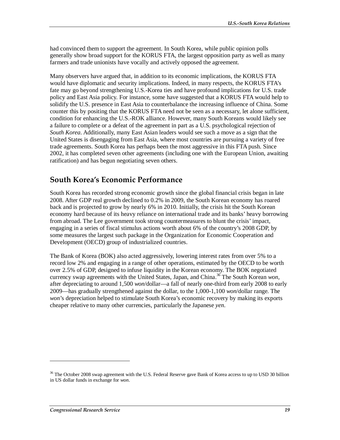had convinced them to support the agreement. In South Korea, while public opinion polls generally show broad support for the KORUS FTA, the largest opposition party as well as many farmers and trade unionists have vocally and actively opposed the agreement.

Many observers have argued that, in addition to its economic implications, the KORUS FTA would have diplomatic and security implications. Indeed, in many respects, the KORUS FTA's fate may go beyond strengthening U.S.-Korea ties and have profound implications for U.S. trade policy and East Asia policy. For instance, some have suggested that a KORUS FTA would help to solidify the U.S. presence in East Asia to counterbalance the increasing influence of China. Some counter this by positing that the KORUS FTA need not be seen as a necessary, let alone sufficient, condition for enhancing the U.S.-ROK alliance. However, many South Koreans would likely see a failure to complete or a defeat of the agreement in part as a U.S. psychological rejection of *South Korea*. Additionally, many East Asian leaders would see such a move as a sign that the United States is disengaging from East Asia, where most countries are pursuing a variety of free trade agreements. South Korea has perhaps been the most aggressive in this FTA push. Since 2002, it has completed seven other agreements (including one with the European Union, awaiting ratification) and has begun negotiating seven others.

### **South Korea's Economic Performance**

South Korea has recorded strong economic growth since the global financial crisis began in late 2008. After GDP real growth declined to 0.2% in 2009, the South Korean economy has roared back and is projected to grow by nearly 6% in 2010. Initially, the crisis hit the South Korean economy hard because of its heavy reliance on international trade and its banks' heavy borrowing from abroad. The Lee government took strong countermeasures to blunt the crisis' impact, engaging in a series of fiscal stimulus actions worth about 6% of the country's 2008 GDP, by some measures the largest such package in the Organization for Economic Cooperation and Development (OECD) group of industrialized countries.

The Bank of Korea (BOK) also acted aggressively, lowering interest rates from over 5% to a record low 2% and engaging in a range of other operations, estimated by the OECD to be worth over 2.5% of GDP, designed to infuse liquidity in the Korean economy. The BOK negotiated currency swap agreements with the United States, Japan, and China.<sup>36</sup> The South Korean *won*, after depreciating to around 1,500 *won*/dollar—a fall of nearly one-third from early 2008 to early 2009—has gradually strengthened against the dollar, to the 1,000-1,100 *won*/dollar range. The *won*'s depreciation helped to stimulate South Korea's economic recovery by making its exports cheaper relative to many other currencies, particularly the Japanese *yen*.

<sup>&</sup>lt;sup>36</sup> The October 2008 swap agreement with the U.S. Federal Reserve gave Bank of Korea access to up to USD 30 billion in US dollar funds in exchange for *won*.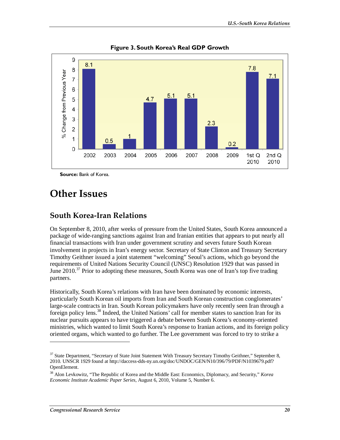

**Figure 3. South Korea's Real GDP Growth** 

**Source:** Bank of Korea.

## **Other Issues**

#### **South Korea-Iran Relations**

On September 8, 2010, after weeks of pressure from the United States, South Korea announced a package of wide-ranging sanctions against Iran and Iranian entities that appears to put nearly all financial transactions with Iran under government scrutiny and severs future South Korean involvement in projects in Iran's energy sector. Secretary of State Clinton and Treasury Secretary Timothy Geithner issued a joint statement "welcoming" Seoul's actions, which go beyond the requirements of United Nations Security Council (UNSC) Resolution 1929 that was passed in June 2010.<sup>37</sup> Prior to adopting these measures, South Korea was one of Iran's top five trading partners.

Historically, South Korea's relations with Iran have been dominated by economic interests, particularly South Korean oil imports from Iran and South Korean construction conglomerates' large-scale contracts in Iran. South Korean policymakers have only recently seen Iran through a foreign policy lens.<sup>38</sup> Indeed, the United Nations' call for member states to sanction Iran for its nuclear pursuits appears to have triggered a debate between South Korea's economy-oriented ministries, which wanted to limit South Korea's response to Iranian actions, and its foreign policy oriented organs, which wanted to go further. The Lee government was forced to try to strike a

<sup>&</sup>lt;sup>37</sup> State Department, "Secretary of State Joint Statement With Treasury Secretary Timothy Geithner," September 8, 2010. UNSCR 1929 found at http://daccess-dds-ny.un.org/doc/UNDOC/GEN/N10/396/79/PDF/N1039679.pdf? OpenElement.

<sup>38</sup> Alon Levkowitz, "The Republic of Korea and the Middle East: Economics, Diplomacy, and Security," *Korea Economic Institute Academic Paper Series*, August 6, 2010, Volume 5, Number 6.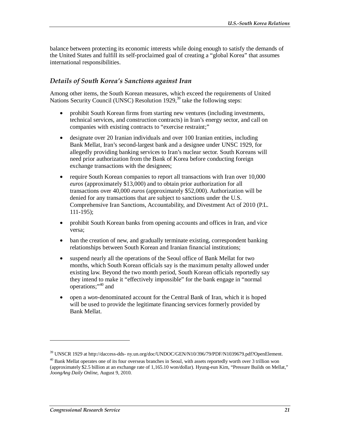balance between protecting its economic interests while doing enough to satisfy the demands of the United States and fulfill its self-proclaimed goal of creating a "global Korea" that assumes international responsibilities.

#### *Details of South Korea's Sanctions against Iran*

Among other items, the South Korean measures, which exceed the requirements of United Nations Security Council (UNSC) Resolution  $1929<sup>39</sup>$  take the following steps:

- prohibit South Korean firms from starting new ventures (including investments, technical services, and construction contracts) in Iran's energy sector, and call on companies with existing contracts to "exercise restraint;"
- designate over 20 Iranian individuals and over 100 Iranian entities, including Bank Mellat, Iran's second-largest bank and a designee under UNSC 1929, for allegedly providing banking services to Iran's nuclear sector. South Koreans will need prior authorization from the Bank of Korea before conducting foreign exchange transactions with the designees;
- require South Korean companies to report all transactions with Iran over 10,000 *euros* (approximately \$13,000) and to obtain prior authorization for all transactions over 40,000 *euros* (approximately \$52,000). Authorization will be denied for any transactions that are subject to sanctions under the U.S. Comprehensive Iran Sanctions, Accountability, and Divestment Act of 2010 (P.L. 111-195);
- prohibit South Korean banks from opening accounts and offices in Iran, and vice versa;
- ban the creation of new, and gradually terminate existing, correspondent banking relationships between South Korean and Iranian financial institutions;
- suspend nearly all the operations of the Seoul office of Bank Mellat for two months, which South Korean officials say is the maximum penalty allowed under existing law. Beyond the two month period, South Korean officials reportedly say they intend to make it "effectively impossible" for the bank engage in "normal operations;"40 and
- open a *won*-denominated account for the Central Bank of Iran, which it is hoped will be used to provide the legitimate financing services formerly provided by Bank Mellat.

<sup>39</sup> UNSCR 1929 at http://daccess-dds- ny.un.org/doc/UNDOC/GEN/N10/396/79/PDF/N1039679.pdf?OpenElement.

 $40$  Bank Mellat operates one of its four overseas branches in Seoul, with assets reportedly worth over 3 trillion won (approximately \$2.5 billion at an exchange rate of 1,165.10 won/dollar). Hyung-eun Kim, "Pressure Builds on Mellat," *JoongAng Daily Online*, August 9, 2010.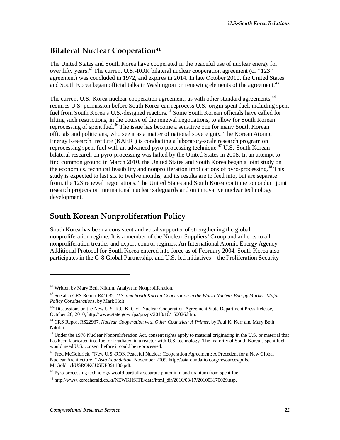## **Bilateral Nuclear Cooperation**<sup>41</sup>

The United States and South Korea have cooperated in the peaceful use of nuclear energy for over fifty years.<sup>42</sup> The current U.S.-ROK bilateral nuclear cooperation agreement (or "123" agreement) was concluded in 1972, and expires in 2014. In late October 2010, the United States and South Korea began official talks in Washington on renewing elements of the agreement.<sup>43</sup>

The current U.S.-Korea nuclear cooperation agreement, as with other standard agreements,<sup>44</sup> requires U.S. permission before South Korea can reprocess U.S.-origin spent fuel, including spent fuel from South Korea's U.S.-designed reactors.<sup>45</sup> Some South Korean officials have called for lifting such restrictions, in the course of the renewal negotiations, to allow for South Korean reprocessing of spent fuel.<sup>46</sup> The issue has become a sensitive one for many South Korean officials and politicians, who see it as a matter of national sovereignty. The Korean Atomic Energy Research Institute (KAERI) is conducting a laboratory-scale research program on reprocessing spent fuel with an advanced pyro-processing technique.<sup>47</sup> U.S.-South Korean bilateral research on pyro-processing was halted by the United States in 2008. In an attempt to find common ground in March 2010, the United States and South Korea began a joint study on the economics, technical feasibility and nonproliferation implications of pyro-processing.<sup>48</sup> This study is expected to last six to twelve months, and its results are to feed into, but are separate from, the 123 renewal negotiations. The United States and South Korea continue to conduct joint research projects on international nuclear safeguards and on innovative nuclear technology development.

### **South Korean Nonproliferation Policy**

South Korea has been a consistent and vocal supporter of strengthening the global nonproliferation regime. It is a member of the Nuclear Suppliers' Group and adheres to all nonproliferation treaties and export control regimes. An International Atomic Energy Agency Additional Protocol for South Korea entered into force as of February 2004. South Korea also participates in the G-8 Global Partnership, and U.S.-led initiatives—the Proliferation Security

<sup>&</sup>lt;sup>41</sup> Written by Mary Beth Nikitin, Analyst in Nonproliferation.

<sup>42</sup> See also CRS Report R41032, *U.S. and South Korean Cooperation in the World Nuclear Energy Market: Major Policy Considerations*, by Mark Holt.

<sup>&</sup>lt;sup>43</sup>"Discussions on the New U.S.-R.O.K. Civil Nuclear Cooperation Agreement State Department Press Release, October 26, 2010, http://www.state.gov/r/pa/prs/ps/2010/10/150026.htm.

<sup>44</sup> CRS Report RS22937, *Nuclear Cooperation with Other Countries: A Primer*, by Paul K. Kerr and Mary Beth Nikitin.

<sup>&</sup>lt;sup>45</sup> Under the 1978 Nuclear Nonproliferation Act, consent rights apply to material originating in the U.S. or material that has been fabricated into fuel or irradiated in a reactor with U.S. technology. The majority of South Korea's spent fuel would need U.S. consent before it could be reprocessed.

<sup>&</sup>lt;sup>46</sup> Fred McGoldrick, "New U.S.-ROK Peaceful Nuclear Cooperation Agreement: A Precedent for a New Global Nuclear Architecture ," *Asia Foundation*, November 2009, http://asiafoundation.org/resources/pdfs/ McGoldrickUSROKCUSKP091130.pdf.

 $47$  Pyro-processing technology would partially separate plutonium and uranium from spent fuel.

 $^{48}$  http://www.koreaherald.co.kr/NEWKHSITE/data/html\_dir/2010/03/17/201003170029.asp.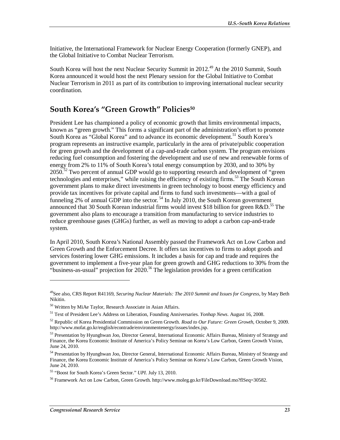Initiative, the International Framework for Nuclear Energy Cooperation (formerly GNEP), and the Global Initiative to Combat Nuclear Terrorism.

South Korea will host the next Nuclear Security Summit in 2012.<sup>49</sup> At the 2010 Summit, South Korea announced it would host the next Plenary session for the Global Initiative to Combat Nuclear Terrorism in 2011 as part of its contribution to improving international nuclear security coordination.

### **South Korea's "Green Growth" Policies50**

President Lee has championed a policy of economic growth that limits environmental impacts, known as "green growth." This forms a significant part of the administration's effort to promote South Korea as "Global Korea" and to advance its economic development.<sup>51</sup> South Korea's program represents an instructive example, particularly in the area of private/public cooperation for green growth and the development of a cap-and-trade carbon system. The program envisions reducing fuel consumption and fostering the development and use of new and renewable forms of energy from 2% to 11% of South Korea's total energy consumption by 2030, and to 30% by  $2050$ <sup>52</sup> Two percent of annual GDP would go to supporting research and development of "green" technologies and enterprises," while raising the efficiency of existing firms.<sup>53</sup> The South Korean government plans to make direct investments in green technology to boost energy efficiency and provide tax incentives for private capital and firms to fund such investments—with a goal of funneling 2% of annual GDP into the sector.<sup>54</sup> In July 2010, the South Korean government announced that 30 South Korean industrial firms would invest \$18 billion for green  $R&D$ .<sup>55</sup> The government also plans to encourage a transition from manufacturing to service industries to reduce greenhouse gases (GHGs) further, as well as moving to adopt a carbon cap-and-trade system.

In April 2010, South Korea's National Assembly passed the Framework Act on Low Carbon and Green Growth and the Enforcement Decree. It offers tax incentives to firms to adopt goods and services fostering lower GHG emissions. It includes a basis for cap and trade and requires the government to implement a five-year plan for green growth and GHG reductions to 30% from the "business-as-usual" projection for  $2020$ .<sup>56</sup> The legislation provides for a green certification

<u>.</u>

<sup>49</sup>See also, CRS Report R41169, *Securing Nuclear Materials: The 2010 Summit and Issues for Congress*, by Mary Beth Nikitin.

<sup>50</sup> Written by MiAe Taylor, Research Associate in Asian Affairs.

<sup>51</sup> Text of President Lee's Address on Liberation, Founding Anniversaries. *Yonhap News*. August 16, 2008.

<sup>52</sup> Republic of Korea Presidential Commission on Green Growth. *Road to Our Future: Green Growth*, October 9, 2009. http://www.mofat.go.kr/english/econtrade/environmentenergy/issues/index.jsp.

<sup>&</sup>lt;sup>53</sup> Presentation by Hyunghwan Joo, Director General, International Economic Affairs Bureau, Ministry of Strategy and Finance, the Korea Economic Institute of America's Policy Seminar on Korea's Low Carbon, Green Growth Vision, June 24, 2010.

<sup>54</sup> Presentation by Hyunghwan Joo, Director General, International Economic Affairs Bureau, Ministry of Strategy and Finance, the Korea Economic Institute of America's Policy Seminar on Korea's Low Carbon, Green Growth Vision, June 24, 2010.

<sup>55 &</sup>quot;Boost for South Korea's Green Sector." *UPI.* July 13, 2010.

<sup>56</sup> Framework Act on Low Carbon, Green Growth. http://www.moleg.go.kr/FileDownload.mo?flSeq=30582.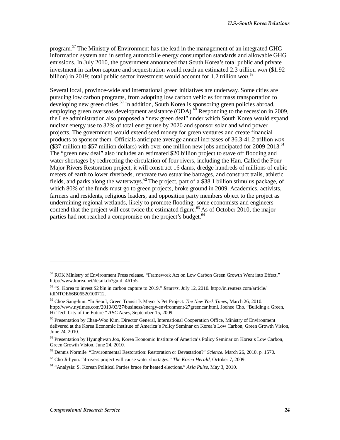program.<sup>57</sup> The Ministry of Environment has the lead in the management of an integrated GHG information system and in setting automobile energy consumption standards and allowable GHG emissions. In July 2010, the government announced that South Korea's total public and private investment in carbon capture and sequestration would reach an estimated 2.3 trillion *won* (\$1.92 billion) in 2019; total public sector investment would account for 1.2 trillion *won*. 58

Several local, province-wide and international green initiatives are underway. Some cities are pursuing low carbon programs, from adopting low carbon vehicles for mass transportation to developing new green cities.<sup>59</sup> In addition, South Korea is sponsoring green policies abroad, employing green overseas development assistance  $(ODA)$ .<sup>60</sup> Responding to the recession in 2009, the Lee administration also proposed a "new green deal" under which South Korea would expand nuclear energy use to 32% of total energy use by 2020 and sponsor solar and wind power projects. The government would extend seed money for green ventures and create financial products to sponsor them. Officials anticipate average annual increases of 36.3-41.2 trillion *won* (\$37 million to \$57 million dollars) with over one million new jobs anticipated for  $2009-2013$ .<sup>61</sup> The "green new deal" also includes an estimated \$20 billion project to stave off flooding and water shortages by redirecting the circulation of four rivers, including the Han. Called the Four Major Rivers Restoration project, it will construct 16 dams, dredge hundreds of millions of cubic meters of earth to lower riverbeds, renovate two estuarine barrages, and construct trails, athletic fields, and parks along the waterways.<sup>62</sup> The project, part of a \$38.1 billion stimulus package, of which 80% of the funds must go to green projects, broke ground in 2009. Academics, activists, farmers and residents, religious leaders, and opposition party members object to the project as undermining regional wetlands, likely to promote flooding; some economists and engineers contend that the project will cost twice the estimated figure.<sup>63</sup> As of October 2010, the major parties had not reached a compromise on the project's budget.<sup>64</sup>

<sup>57</sup> ROK Ministry of Environment Press release. "Framework Act on Low Carbon Green Growth Went into Effect," http://www.korea.net/detail.do?guid=46155.

<sup>58 &</sup>quot;S. Korea to invest \$2 bln in carbon capture to 2019." *Reuters*. July 12, 2010. http://in.reuters.com/article/ idINTOE66B06520100712.

<sup>59</sup> Choe Sang-hun. "In Seoul, Green Transit Is Mayor's Pet Project. *The New York Times*, March 26, 2010. http://www.nytimes.com/2010/03/27/business/energy-environment/27greencar.html. Joohee Cho. "Building a Green, Hi-Tech City of the Future." *ABC News*, September 15, 2009.

<sup>60</sup> Presentation by Chan-Woo Kim, Director General, International Cooperation Office, Ministry of Environment delivered at the Korea Economic Institute of America's Policy Seminar on Korea's Low Carbon, Green Growth Vision, June 24, 2010.

<sup>&</sup>lt;sup>61</sup> Presentation by Hyunghwan Joo, Korea Economic Institute of America's Policy Seminar on Korea's Low Carbon, Green Growth Vision, June 24, 2010.

<sup>62</sup> Dennis Normile. "Environmental Restoration: Restoration or Devastation?" *Science.* March 26, 2010. p. 1570.

<sup>63</sup> Cho Ji-hyun. "4-rivers project will cause water shortages." *The Korea Herald*, October 7, 2009.

<sup>64 &</sup>quot;Analysis: S. Korean Political Parties brace for heated elections." *Asia Pulse,* May 3, 2010.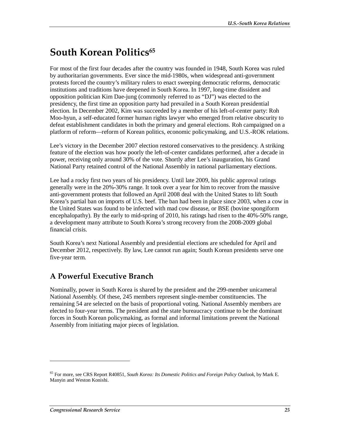# **South Korean Politics**<sup>65</sup>

For most of the first four decades after the country was founded in 1948, South Korea was ruled by authoritarian governments. Ever since the mid-1980s, when widespread anti-government protests forced the country's military rulers to enact sweeping democratic reforms, democratic institutions and traditions have deepened in South Korea. In 1997, long-time dissident and opposition politician Kim Dae-jung (commonly referred to as "DJ") was elected to the presidency, the first time an opposition party had prevailed in a South Korean presidential election. In December 2002, Kim was succeeded by a member of his left-of-center party: Roh Moo-hyun, a self-educated former human rights lawyer who emerged from relative obscurity to defeat establishment candidates in both the primary and general elections. Roh campaigned on a platform of reform—reform of Korean politics, economic policymaking, and U.S.-ROK relations.

Lee's victory in the December 2007 election restored conservatives to the presidency. A striking feature of the election was how poorly the left-of-center candidates performed, after a decade in power, receiving only around 30% of the vote. Shortly after Lee's inauguration, his Grand National Party retained control of the National Assembly in national parliamentary elections.

Lee had a rocky first two years of his presidency. Until late 2009, his public approval ratings generally were in the 20%-30% range. It took over a year for him to recover from the massive anti-government protests that followed an April 2008 deal with the United States to lift South Korea's partial ban on imports of U.S. beef. The ban had been in place since 2003, when a cow in the United States was found to be infected with mad cow disease, or BSE (bovine spongiform encephalopathy). By the early to mid-spring of 2010, his ratings had risen to the 40%-50% range, a development many attribute to South Korea's strong recovery from the 2008-2009 global financial crisis.

South Korea's next National Assembly and presidential elections are scheduled for April and December 2012, respectively. By law, Lee cannot run again; South Korean presidents serve one five-year term.

## **A Powerful Executive Branch**

Nominally, power in South Korea is shared by the president and the 299-member unicameral National Assembly. Of these, 245 members represent single-member constituencies. The remaining 54 are selected on the basis of proportional voting. National Assembly members are elected to four-year terms. The president and the state bureaucracy continue to be the dominant forces in South Korean policymaking, as formal and informal limitations prevent the National Assembly from initiating major pieces of legislation.

<sup>65</sup> For more, see CRS Report R40851, *South Korea: Its Domestic Politics and Foreign Policy Outlook*, by Mark E. Manyin and Weston Konishi.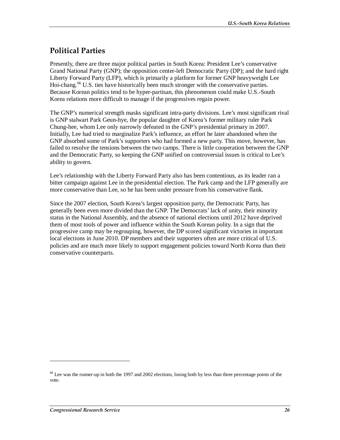## **Political Parties**

Presently, there are three major political parties in South Korea: President Lee's conservative Grand National Party (GNP); the opposition center-left Democratic Party (DP); and the hard right Liberty Forward Party (LFP), which is primarily a platform for former GNP heavyweight Lee Hoi-chang.<sup>66</sup> U.S. ties have historically been much stronger with the conservative parties. Because Korean politics tend to be hyper-partisan, this phenomenon could make U.S.-South Korea relations more difficult to manage if the progressives regain power.

The GNP's numerical strength masks significant intra-party divisions. Lee's most significant rival is GNP stalwart Park Geun-hye, the popular daughter of Korea's former military ruler Park Chung-hee, whom Lee only narrowly defeated in the GNP's presidential primary in 2007. Initially, Lee had tried to marginalize Park's influence, an effort he later abandoned when the GNP absorbed some of Park's supporters who had formed a new party. This move, however, has failed to resolve the tensions between the two camps. There is little cooperation between the GNP and the Democratic Party, so keeping the GNP unified on controversial issues is critical to Lee's ability to govern.

Lee's relationship with the Liberty Forward Party also has been contentious, as its leader ran a bitter campaign against Lee in the presidential election. The Park camp and the LFP generally are more conservative than Lee, so he has been under pressure from his conservative flank.

Since the 2007 election, South Korea's largest opposition party, the Democratic Party, has generally been even more divided than the GNP. The Democrats' lack of unity, their minority status in the National Assembly, and the absence of national elections until 2012 have deprived them of most tools of power and influence within the South Korean polity. In a sign that the progressive camp may be regrouping, however, the DP scored significant victories in important local elections in June 2010. DP members and their supporters often are more critical of U.S. policies and are much more likely to support engagement policies toward North Korea than their conservative counterparts.

 $<sup>66</sup>$  Lee was the runner-up in both the 1997 and 2002 elections, losing both by less than three percentage points of the</sup> vote.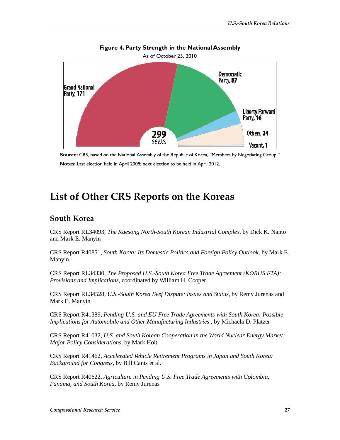

# **Figure 4. Party Strength in the National Assembly**

# **List of Other CRS Reports on the Koreas**

### **South Korea**

CRS Report RL34093, *The Kaesong North-South Korean Industrial Complex*, by Dick K. Nanto and Mark E. Manyin

CRS Report R40851, *South Korea: Its Domestic Politics and Foreign Policy Outlook*, by Mark E. Manyin

CRS Report RL34330, *The Proposed U.S.-South Korea Free Trade Agreement (KORUS FTA): Provisions and Implications*, coordinated by William H. Cooper

CRS Report RL34528, *U.S.-South Korea Beef Dispute: Issues and Status*, by Remy Jurenas and Mark E. Manyin

CRS Report R41389, *Pending U.S. and EU Free Trade Agreements with South Korea: Possible Implications for Automobile and Other Manufacturing Industries* , by Michaela D. Platzer

CRS Report R41032, *U.S. and South Korean Cooperation in the World Nuclear Energy Market: Major Policy Considerations*, by Mark Holt

CRS Report R41462, *Accelerated Vehicle Retirement Programs in Japan and South Korea: Background for Congress*, by Bill Canis et al.

CRS Report R40622, *Agriculture in Pending U.S. Free Trade Agreements with Colombia, Panama, and South Korea*, by Remy Jurenas

**Source:** CRS, based on the National Assembly of the Republic of Korea, "Members by Negotiating Group." **Notes:** Last election held in April 2008; next election to be held in April 2012.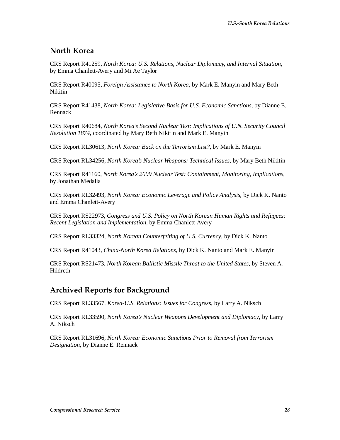### **North Korea**

CRS Report R41259, *North Korea: U.S. Relations, Nuclear Diplomacy, and Internal Situation*, by Emma Chanlett-Avery and Mi Ae Taylor

CRS Report R40095, *Foreign Assistance to North Korea*, by Mark E. Manyin and Mary Beth Nikitin

CRS Report R41438, *North Korea: Legislative Basis for U.S. Economic Sanctions*, by Dianne E. Rennack

CRS Report R40684, *North Korea's Second Nuclear Test: Implications of U.N. Security Council Resolution 1874*, coordinated by Mary Beth Nikitin and Mark E. Manyin

CRS Report RL30613, *North Korea: Back on the Terrorism List?*, by Mark E. Manyin

CRS Report RL34256, *North Korea's Nuclear Weapons: Technical Issues*, by Mary Beth Nikitin

CRS Report R41160, *North Korea's 2009 Nuclear Test: Containment, Monitoring, Implications*, by Jonathan Medalia

CRS Report RL32493, *North Korea: Economic Leverage and Policy Analysis*, by Dick K. Nanto and Emma Chanlett-Avery

CRS Report RS22973, *Congress and U.S. Policy on North Korean Human Rights and Refugees: Recent Legislation and Implementation*, by Emma Chanlett-Avery

CRS Report RL33324, *North Korean Counterfeiting of U.S. Currency*, by Dick K. Nanto

CRS Report R41043, *China-North Korea Relations*, by Dick K. Nanto and Mark E. Manyin

CRS Report RS21473, *North Korean Ballistic Missile Threat to the United States*, by Steven A. Hildreth

## **Archived Reports for Background**

CRS Report RL33567, *Korea-U.S. Relations: Issues for Congress*, by Larry A. Niksch

CRS Report RL33590, *North Korea's Nuclear Weapons Development and Diplomacy*, by Larry A. Niksch

CRS Report RL31696, *North Korea: Economic Sanctions Prior to Removal from Terrorism Designation*, by Dianne E. Rennack